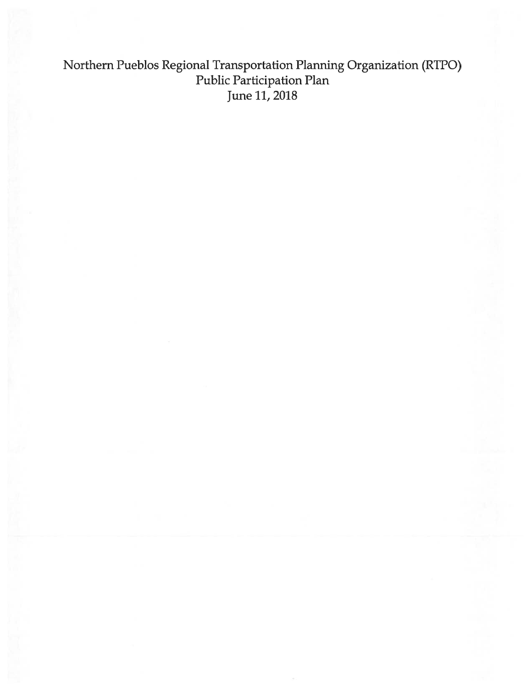Northern Pueblos Regional Transportation Planning Organization (RTPO) Public Participation Plan June 11, 2018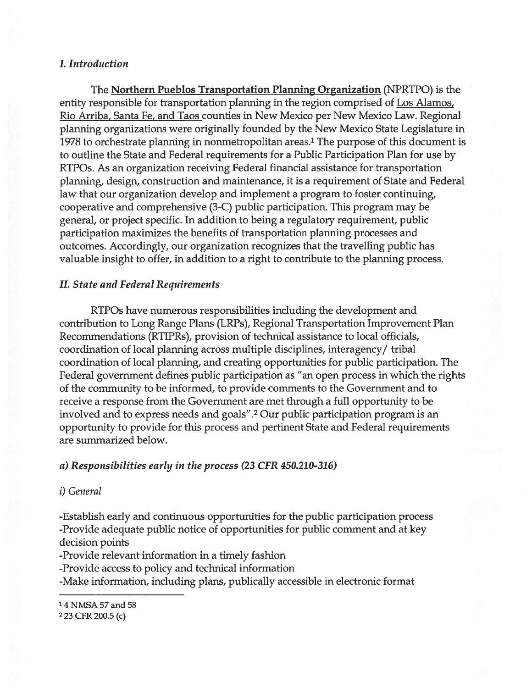### I. Introduction

The Northern Pueblos Transportation Planning Organization (NPRTPO) is the entity responsible for transportation planning in the region comprised of Los Alamos, Rio Arriba, Santa Fe, and Taos counties in New Mexico per New Mexico Law. Regional planning organizations were originally founded by the New Mexico State Legislature in 1978 to orchestrate planning in nonmetropolitan areas.1 The purpose of this document is to outline the State and Federal requirements for <sup>a</sup> Public Participation Plan for use by RTPOs. As an organization receiving Federal financial assistance for transportation planning, design, construction and maintenance, it is <sup>a</sup> requirement of State and Federal law that our organization develop and implement <sup>a</sup> program to foster continuing, cooperative and comprehensive (3-C) public participation. This program may be general, or project specific. In addition to being <sup>a</sup> regulatory requirement, public participation maximizes the benefits of transportation planning processes and outcomes. Accordingly, our organization recognizes that the travelling public has valuable insight to offer, in addition to <sup>a</sup> right to contribute to the planning process.

### II. State and Federal Requirements

RTPOs have numerous responsibilities including the development and contribution to Long Range Plans (LRPs), Regional Transportation Improvement Plan Recommendations (RTIPR5), provision of technical assistance to local officials, coordination of local planning across multiple disciplines, interagency/tribal coordination of local planning, and creating opportunities for public participation. The Federal governmen<sup>t</sup> defines public participation as "an open process in which the rights of the community to be informed, to provide comments to the Government and to receive <sup>a</sup> response from the Government are met through <sup>a</sup> full opportunity to be involved and to express needs and goals" •2 Our public participation program is an opportunity to provide for this process and pertinent State and Federal requirements are summarized below.

#### a) Responsibilities early in the process (23 CFR 450.210-3Th)

#### i) General

-Establish early and continuous opportunities for the public participation process -Provide adequate public notice of opportunities for public comment and at key decision points

-Provide relevant information in <sup>a</sup> timely fashion

-Provide access to policy and technical information

-Make information, including plans, publically accessible in electronic format

<sup>14</sup> NMSA 57 and 58

<sup>2</sup> 23 CFR 200.5 (c)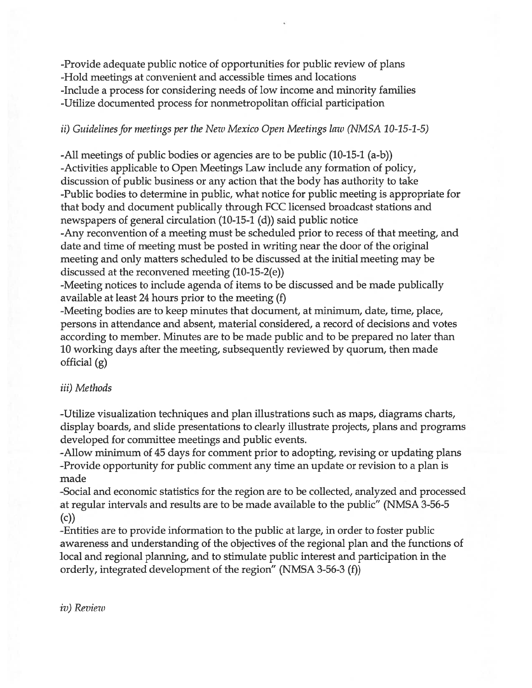-Provide adequate public notice of opportunities for public review of plans -Hold meetings at convenient and accessible times and locations -Include <sup>a</sup> process for considering needs of low income and minority families -Utilize documented process for nonmefropolitan official participation

# ii) Guidelines for meetings per the New Mexico Open Meetings law (NMSA 10-15-1-5)

-All meetings of public bodies or agencies are to be public (10-15-1 (a-b)) -Activities applicable to Open Meetings Law include any formation of policy, discussion of public business or any action that the body has authority to take -Public bodies to determine in public, what notice for public meeting is appropriate for that body and document publically through FCC licensed broadcast stations and newspapers of general circulation (10-15-1 (d)) said public notice -Any reconvention of <sup>a</sup> meeting must be scheduled prior to recess of that meeting, and date and time of meeting must be posted in writing near the door of the original meeting and only matters scheduled to be discussed at the initial meeting may be discussed at the reconvened meeting (10-15-2(e))

-Meeting notices to include agenda of items to be discussed and be made publically available at least 24 hours prior to the meeting (f)

-Meeting bodies are to keep minutes that document, at minimum, date, time, place, persons in attendance and absent, material considered, <sup>a</sup> record of decisions and votes according to member. Minutes are to be made public and to be prepared no later than 10 working days after the meeting, subsequently reviewed by quorum, then made official (g)

## iii) Methods

-Utilize visualization techniques and plan illustrations such as maps, diagrams charts, display boards, and slide presentations to clearly illustrate projects, plans and programs developed for committee meetings and public events.

-Allow minimum of 45 days for comment prior to adopting, revising or updating plans -Provide opportunity for public comment any time an update or revision to <sup>a</sup> plan is made

-Social and economic statistics for the region are to be collected, analyzed and processed at regular intervals and results are to be made available to the public" (NMSA 3-56-5 (c))

-Entities are to provide information to the public at large, in order to foster public awareness and understanding of the objectives of the regional plan and the functions of local and regional planning, and to stimulate public interest and participation in the orderly, integrated development of the region" (NMSA 3-56-3 (f))

iv) Review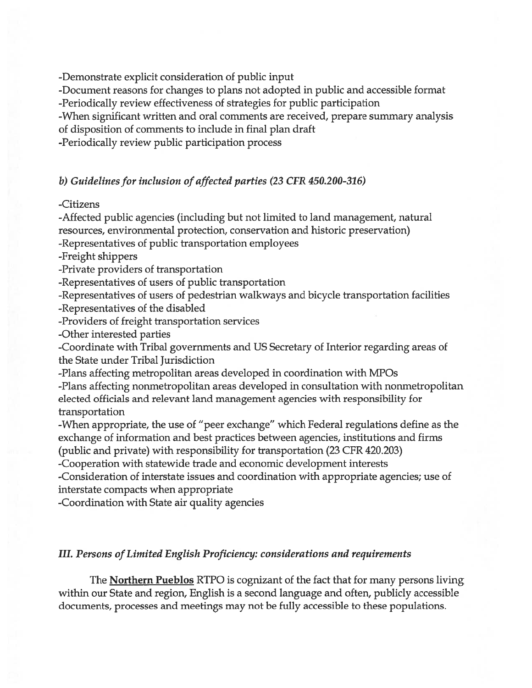-Demonstrate explicit consideration of public input

-Document reasons for changes to plans not adopted in public and accessible format

-Periodically review effectiveness of strategies for public participation

-When significant written and oral comments are received, prepare summary analysis of disposition of comments to include in final plan draft

-Periodically review public participation process

## b) Guidelines for inclusion of affected parties (23 CFR 450.200-316)

## -Citizens

-Affected public agencies (including but not limited to land management, natural resources, environmental protection, conservation and historic preservation)

-Representatives of public transportation employees

-Freight shippers

-Private providers of transportation

-Representatives of users of public transportation

-Representatives of users of pedestrian walkways and bicycle transportation facilities -Representatives of the disabled

-Providers of freight transportation services

-Other interested parties

-Coordinate with Tribal governments and US Secretary of Interior regarding areas of the State under Tribal Jurisdiction

-Plans affecting metropolitan areas developed in coordination with MPOs

-Plans affecting nonmetropolitan areas developed in consultation with nonmefropolitan elected officials and relevant land managemen<sup>t</sup> agencies with responsibility for transportation

-When appropriate, the use of "peer exchange" which Federal regulations define as the exchange of information and best practices between agencies, institutions and firms (public and private) with responsibility for transportation (23 CFR 420.203)

-Cooperation with statewide trade and economic development interests

-Consideration of interstate issues and coordination with appropriate agencies; use of interstate compacts when appropriate

-Coordination with State air quality agencies

# III. Persons of Limited English Proficiency: considerations and requirements

The **Northern Pueblos** RTPO is cognizant of the fact that for many persons living within our State and region, English is <sup>a</sup> second language and often, publicly accessible documents, processes and meetings may not be fully accessible to these populations.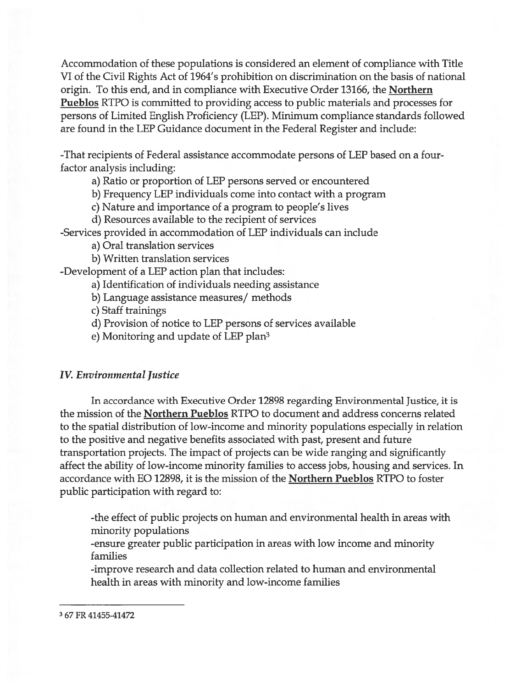Accommodation of these populations is considered an element of compliance with Title VI of the Civil Rights Act of 1964's prohibition on discrimination on the basis of national origin. To this end, and in compliance with Executive Order 13166, the Northern Pueblos RTPO is committed to providing access to public materials and processes for persons of Limited English Proficiency (LEP). Minimum compliance standards followed are found in the LEP Guidance document in the Federal Register and include:

-That recipients of Federal assistance accommodate persons of LEP based on <sup>a</sup> fourfactor analysis including:

a) Ratio or proportion of LEP persons served or encountered

b) Frequency LEP individuals come into contact with <sup>a</sup> program

c) Nature and importance of <sup>a</sup> program to people's lives

d) Resources available to the recipient of services

-Services provided in accommodation of LEP individuals can include

a) Oral translation services

b) Written translation services

-Development of <sup>a</sup> LEP action plan that includes:

a) Identification of individuals needing assistance

b) Language assistance measures/ methods

c) Staff trainings

d) Provision of notice to LEP persons of services available

e) Monitoring and update of LEP plan3

### IV. Environmental Justice

In accordance with Executive Order 12898 regarding Environmental Justice, it is the mission of the Northern Pueblos RTPO to document and address concerns related to the spatial distribution of low-income and minority populations especially in relation to the positive and negative benefits associated with past, presen<sup>t</sup> and future transportation projects. The impact of projects can be wide ranging and significantly affect the ability of low-income minority families to access jobs, housing and services. In accordance with EO 12898, it is the mission of the Northern Pueblos RTPO to foster public participation with regard to:

-the effect of public projects on human and environmental health in areas with minority populations

-ensure greater public participation in areas with low income and minority families

-improve research and data collection related to human and environmental health in areas with minority and low-income families

<sup>67</sup> FR 41455-41472